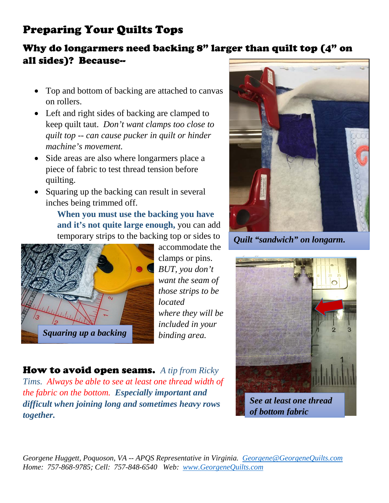## Preparing Your Quilts Tops

## Why do longarmers need backing 8" larger than quilt top (4" on all sides)? Because--

- Top and bottom of backing are attached to canvas on rollers.
- Left and right sides of backing are clamped to keep quilt taut. *Don't want clamps too close to quilt top -- can cause pucker in quilt or hinder machine's movement.*
- Side areas are also where longarmers place a piece of fabric to test thread tension before quilting.
- Squaring up the backing can result in several inches being trimmed off.

**When you must use the backing you have and it's not quite large enough,** you can add temporary strips to the backing top or sides to



accommodate the clamps or pins. *BUT, you don't want the seam of those strips to be located where they will be included in your binding area.*



*Quilt "sandwich" on longarm.*



How to avoid open seams. *A tip from Ricky Tims. Always be able to see at least one thread width of the fabric on the bottom. Especially important and difficult when joining long and sometimes heavy rows together.*

*Georgene Huggett, Poquoson, VA -- APQS Representative in Virginia. [Georgene@GeorgeneQuilts.com](mailto:Georgene@GeorgeneQuilts.com) Home: 757-868-9785; Cell: 757-848-6540 Web: [www.GeorgeneQuilts.com](http://www.georgenequilts.com/)*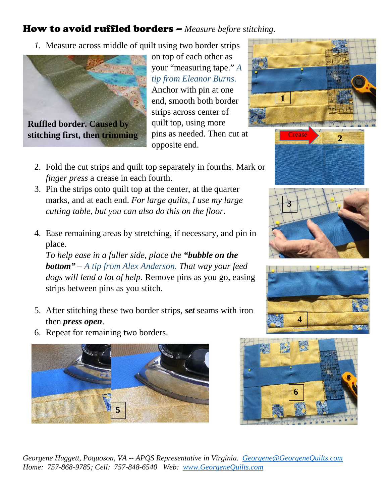## How to avoid ruffled borders – *Measure before stitching.*

*1.* Measure across middle of quilt using two border strips



**Ruffled border. Caused by stitching first, then trimming** on top of each other as your "measuring tape." *A tip from Eleanor Burns.* Anchor with pin at one end, smooth both border strips across center of quilt top, using more pins as needed. Then cut at opposite end.

- 2. Fold the cut strips and quilt top separately in fourths. Mark or *finger press* a crease in each fourth.
- 3. Pin the strips onto quilt top at the center, at the quarter marks, and at each end. *For large quilts, I use my large cutting table, but you can also do this on the floor.*
- 4. Ease remaining areas by stretching, if necessary, and pin in place.

*To help ease in a fuller side, place the "bubble on the bottom" – A tip from Alex Anderson. That way your feed dogs will lend a lot of help*. Remove pins as you go, easing strips between pins as you stitch.

- 5. After stitching these two border strips, *set* seams with iron then *press open*.
- 6. Repeat for remaining two borders.













*Georgene Huggett, Poquoson, VA -- APQS Representative in Virginia. [Georgene@GeorgeneQuilts.com](mailto:Georgene@GeorgeneQuilts.com) Home: 757-868-9785; Cell: 757-848-6540 Web: [www.GeorgeneQuilts.com](http://www.georgenequilts.com/)*